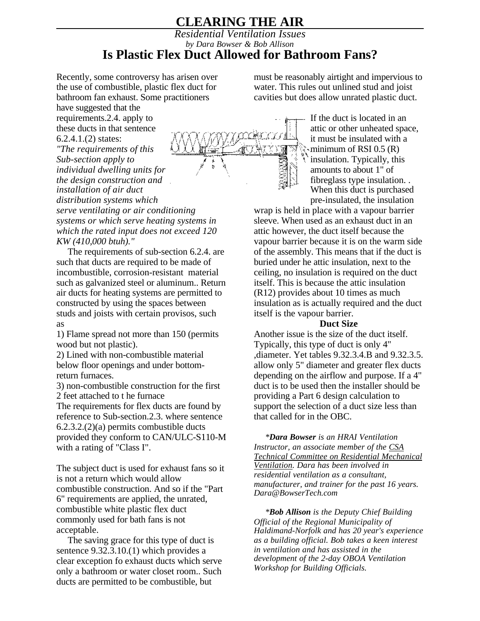## **CLEARING THE AIR**

## *Residential Ventilation Issues by Dara Bowser & Bob Allison* **Is Plastic Flex Duct Allowed for Bathroom Fans?**

Recently, some controversy has arisen over the use of combustible, plastic flex duct for bathroom fan exhaust. Some practitioners

have suggested that the requirements.2.4. apply to these ducts in that sentence 6.2.4.1.(2) states: *"The requirements of this*

*Sub-section apply to individual dwelling units for the design construction and installation of air duct distribution systems which serve ventilating or air conditioning systems or which serve heating systems in which the rated input does not exceed 120 KW (410,000 btuh)."*

The requirements of sub-section 6.2.4. are such that ducts are required to be made of incombustible, corrosion-resistant material such as galvanized steel or aluminum.. Return air ducts for heating systems are permitted to constructed by using the spaces between studs and joists with certain provisos, such as

1) Flame spread not more than 150 (permits wood but not plastic).

2) Lined with non-combustible material below floor openings and under bottomreturn furnaces.

3) non-combustible construction for the first 2 feet attached to t he furnace

The requirements for flex ducts are found by reference to Sub-section.2.3. where sentence 6.2.3.2.(2)(a) permits combustible ducts provided they conform to CAN/ULC-S110-M with a rating of "Class I".

The subject duct is used for exhaust fans so it is not a return which would allow combustible construction. And so if the "Part 6" requirements are applied, the unrated, combustible white plastic flex duct commonly used for bath fans is not acceptable.

The saving grace for this type of duct is sentence 9.32.3.10.(1) which provides a clear exception fo exhaust ducts which serve only a bathroom or water closet room.. Such ducts are permitted to be combustible, but

must be reasonably airtight and impervious to water. This rules out unlined stud and joist cavities but does allow unrated plastic duct.



If the duct is located in an attic or other unheated space, it must be insulated with a  $\cdot$ minimum of RSI 0.5 (R) insulation. Typically, this amounts to about 1" of fibreglass type insulation. . When this duct is purchased pre-insulated, the insulation

wrap is held in place with a vapour barrier sleeve. When used as an exhaust duct in an attic however, the duct itself because the vapour barrier because it is on the warm side of the assembly. This means that if the duct is buried under he attic insulation, next to the ceiling, no insulation is required on the duct itself. This is because the attic insulation (R12) provides about 10 times as much insulation as is actually required and the duct itself is the vapour barrier.

## **Duct Size**

Another issue is the size of the duct itself. Typically, this type of duct is only 4" ,diameter. Yet tables 9.32.3.4.B and 9.32.3.5. allow only 5" diameter and greater flex ducts depending on the airflow and purpose. If a 4" duct is to be used then the installer should be providing a Part 6 design calculation to support the selection of a duct size less than that called for in the OBC.

*\*Dara Bowser is an HRAI Ventilation Instructor, an associate member of the CSA Technical Committee on Residential Mechanical Ventilation. Dara has been involved in residential ventilation as a consultant, manufacturer, and trainer for the past 16 years. Dara@BowserTech.com*

*\*Bob Allison is the Deputy Chief Building Official of the Regional Municipality of Haldimand-Norfolk and has 20 year's experience as a building official. Bob takes a keen interest in ventilation and has assisted in the development of the 2-day OBOA Ventilation Workshop for Building Officials.*